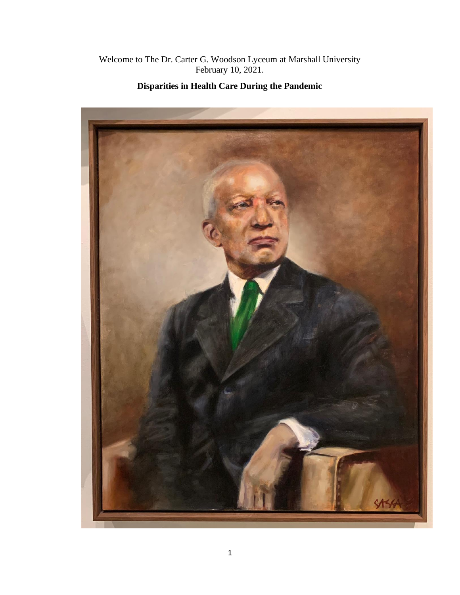## Welcome to The Dr. Carter G. Woodson Lyceum at Marshall University February 10, 2021.



## **Disparities in Health Care During the Pandemic**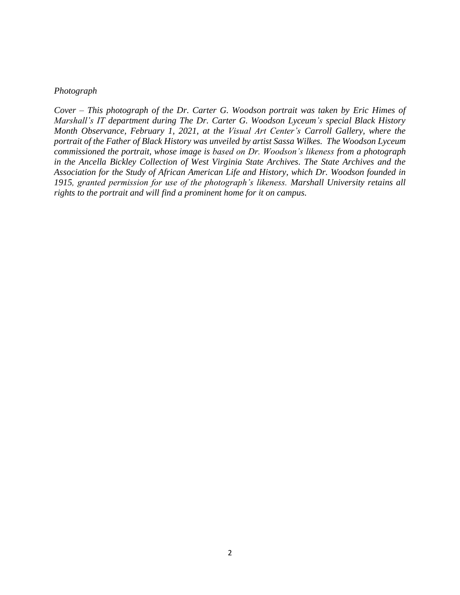#### *Photograph*

*Cover – This photograph of the Dr. Carter G. Woodson portrait was taken by Eric Himes of Marshall's IT department during The Dr. Carter G. Woodson Lyceum's special Black History Month Observance, February 1, 2021, at the Visual Art Center's Carroll Gallery, where the portrait of the Father of Black History was unveiled by artist Sassa Wilkes. The Woodson Lyceum commissioned the portrait, whose image is based on Dr. Woodson's likeness from a photograph in the Ancella Bickley Collection of West Virginia State Archives. The State Archives and the Association for the Study of African American Life and History, which Dr. Woodson founded in 1915, granted permission for use of the photograph's likeness. Marshall University retains all rights to the portrait and will find a prominent home for it on campus.*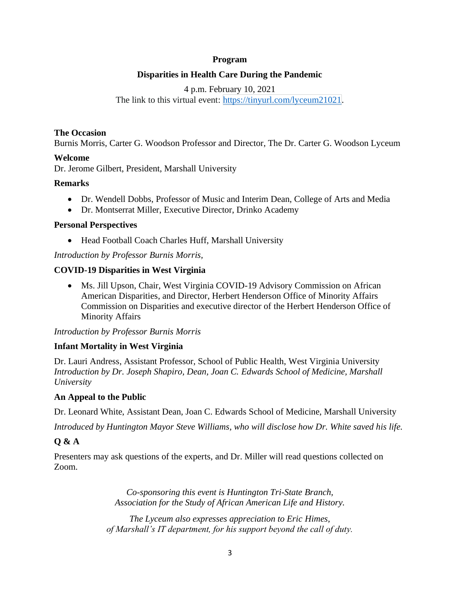#### **Program**

## **Disparities in Health Care During the Pandemic**

4 p.m. February 10, 2021 The link to this virtual event: [https://tinyurl.com/lyceum21021.](https://tinyurl.com/lyceum21021)

#### **The Occasion**

Burnis Morris, Carter G. Woodson Professor and Director, The Dr. Carter G. Woodson Lyceum

## **Welcome**

Dr. Jerome Gilbert, President, Marshall University

## **Remarks**

- Dr. Wendell Dobbs, Professor of Music and Interim Dean, College of Arts and Media
- Dr. Montserrat Miller, Executive Director, Drinko Academy

#### **Personal Perspectives**

• Head Football Coach Charles Huff, Marshall University

## *Introduction by Professor Burnis Morris,*

#### **COVID-19 Disparities in West Virginia**

• Ms. Jill Upson, Chair, West Virginia COVID-19 Advisory Commission on African American Disparities, and Director, Herbert Henderson Office of Minority Affairs Commission on Disparities and executive director of the Herbert Henderson Office of Minority Affairs

## *Introduction by Professor Burnis Morris*

## **Infant Mortality in West Virginia**

Dr. Lauri Andress, Assistant Professor, School of Public Health, West Virginia University *Introduction by Dr. Joseph Shapiro, Dean, Joan C. Edwards School of Medicine, Marshall University*

#### **An Appeal to the Public**

Dr. Leonard White, Assistant Dean, Joan C. Edwards School of Medicine, Marshall University

*Introduced by Huntington Mayor Steve Williams, who will disclose how Dr. White saved his life.*

## **Q & A**

Presenters may ask questions of the experts, and Dr. Miller will read questions collected on Zoom.

> *Co-sponsoring this event is Huntington Tri-State Branch, Association for the Study of African American Life and History.*

*The Lyceum also expresses appreciation to Eric Himes, of Marshall's IT department, for his support beyond the call of duty.*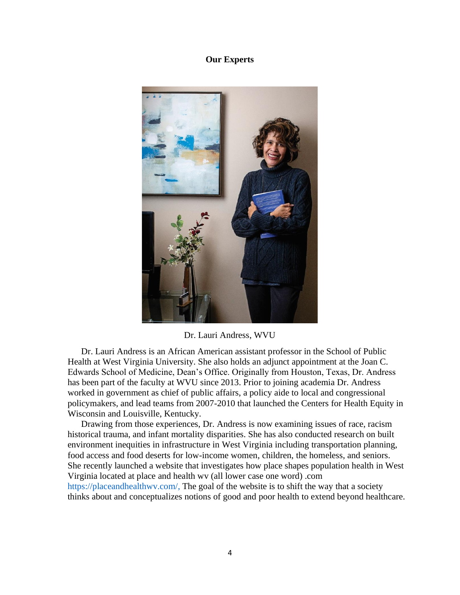#### **Our Experts**



Dr. Lauri Andress, WVU

Dr. Lauri Andress is an African American assistant professor in the School of Public Health at West Virginia University. She also holds an adjunct appointment at the Joan C. Edwards School of Medicine, Dean's Office. Originally from Houston, Texas, Dr. Andress has been part of the faculty at WVU since 2013. Prior to joining academia Dr. Andress worked in government as chief of public affairs, a policy aide to local and congressional policymakers, and lead teams from 2007-2010 that launched the Centers for Health Equity in Wisconsin and Louisville, Kentucky.

Drawing from those experiences, Dr. Andress is now examining issues of race, racism historical trauma, and infant mortality disparities. She has also conducted research on built environment inequities in infrastructure in West Virginia including transportation planning, food access and food deserts for low-income women, children, the homeless, and seniors. She recently launched a website that investigates how place shapes population health in West Virginia located at place and health wv (all lower case one word) .com https://placeandhealthwv.com/, The goal of the website is to shift the way that a society thinks about and conceptualizes notions of good and poor health to extend beyond healthcare.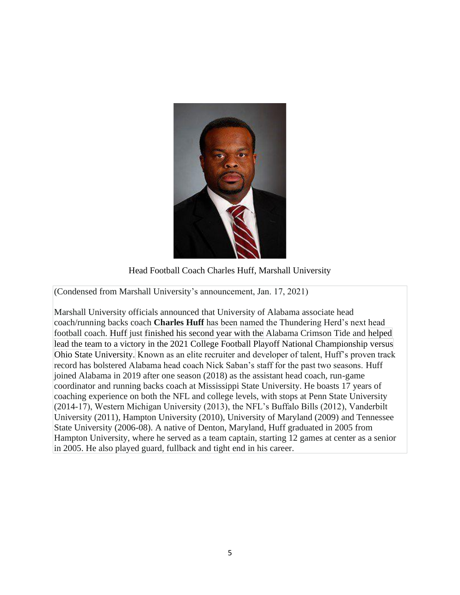![](_page_4_Picture_0.jpeg)

Head Football Coach Charles Huff, Marshall University

(Condensed from Marshall University's announcement, Jan. 17, 2021)

Marshall University officials announced that University of Alabama associate head coach/running backs coach **Charles Huff** has been named the Thundering Herd's next head football coach. Huff just finished his second year with the Alabama Crimson Tide and helped lead the team to a victory in the 2021 College Football Playoff National Championship versus Ohio State University. Known as an elite recruiter and developer of talent, Huff's proven track record has bolstered Alabama head coach Nick Saban's staff for the past two seasons. Huff joined Alabama in 2019 after one season (2018) as the assistant head coach, run-game coordinator and running backs coach at Mississippi State University. He boasts 17 years of coaching experience on both the NFL and college levels, with stops at Penn State University (2014-17), Western Michigan University (2013), the NFL's Buffalo Bills (2012), Vanderbilt University (2011), Hampton University (2010), University of Maryland (2009) and Tennessee State University (2006-08). A native of Denton, Maryland, Huff graduated in 2005 from Hampton University, where he served as a team captain, starting 12 games at center as a senior in 2005. He also played guard, fullback and tight end in his career.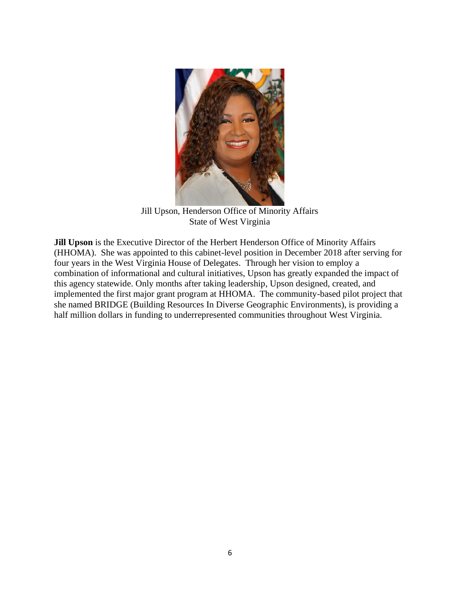![](_page_5_Picture_0.jpeg)

Jill Upson, Henderson Office of Minority Affairs State of West Virginia

**Jill Upson** is the Executive Director of the Herbert Henderson Office of Minority Affairs (HHOMA). She was appointed to this cabinet-level position in December 2018 after serving for four years in the West Virginia House of Delegates. Through her vision to employ a combination of informational and cultural initiatives, Upson has greatly expanded the impact of this agency statewide. Only months after taking leadership, Upson designed, created, and implemented the first major grant program at HHOMA. The community-based pilot project that she named BRIDGE (Building Resources In Diverse Geographic Environments), is providing a half million dollars in funding to underrepresented communities throughout West Virginia.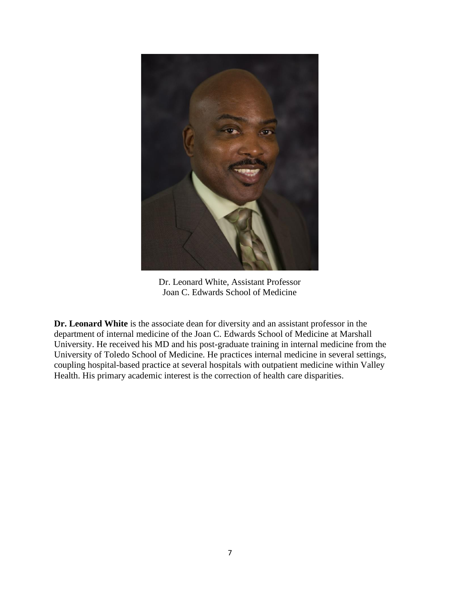![](_page_6_Picture_0.jpeg)

Dr. Leonard White, Assistant Professor Joan C. Edwards School of Medicine

**Dr. Leonard White** is the associate dean for diversity and an assistant professor in the department of internal medicine of the Joan C. Edwards School of Medicine at Marshall University. He received his MD and his post-graduate training in internal medicine from the University of Toledo School of Medicine. He practices internal medicine in several settings, coupling hospital-based practice at several hospitals with outpatient medicine within Valley Health. His primary academic interest is the correction of health care disparities.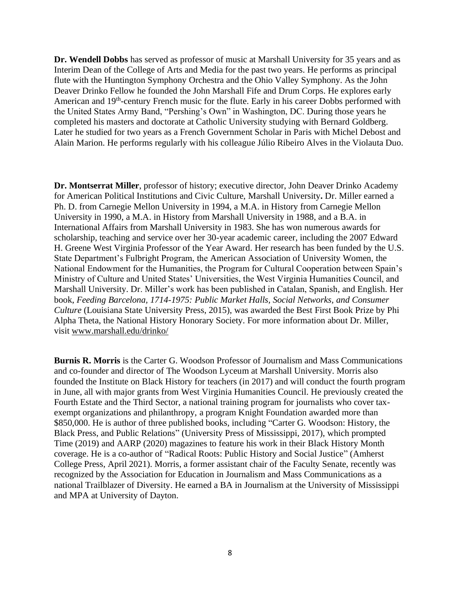**Dr. Wendell Dobbs** has served as professor of music at Marshall University for 35 years and as Interim Dean of the College of Arts and Media for the past two years. He performs as principal flute with the Huntington Symphony Orchestra and the Ohio Valley Symphony. As the John Deaver Drinko Fellow he founded the John Marshall Fife and Drum Corps. He explores early American and 19<sup>th</sup>-century French music for the flute. Early in his career Dobbs performed with the United States Army Band, "Pershing's Own" in Washington, DC. During those years he completed his masters and doctorate at Catholic University studying with Bernard Goldberg. Later he studied for two years as a French Government Scholar in Paris with Michel Debost and Alain Marion. He performs regularly with his colleague Júlio Ribeiro Alves in the Violauta Duo.

**Dr. Montserrat Miller**, professor of history; executive director, John Deaver Drinko Academy for American Political Institutions and Civic Culture, Marshall University**.** Dr. Miller earned a Ph. D. from Carnegie Mellon University in 1994, a M.A. in History from Carnegie Mellon University in 1990, a M.A. in History from Marshall University in 1988, and a B.A. in International Affairs from Marshall University in 1983. She has won numerous awards for scholarship, teaching and service over her 30-year academic career, including the 2007 Edward H. Greene West Virginia Professor of the Year Award. Her research has been funded by the U.S. State Department's Fulbright Program, the American Association of University Women, the National Endowment for the Humanities, the Program for Cultural Cooperation between Spain's Ministry of Culture and United States' Universities, the West Virginia Humanities Council, and Marshall University. Dr. Miller's work has been published in Catalan, Spanish, and English. Her book, *Feeding Barcelona, 1714-1975: Public Market Halls, Social Networks, and Consumer Culture* (Louisiana State University Press, 2015), was awarded the Best First Book Prize by Phi Alpha Theta, the National History Honorary Society. For more information about Dr. Miller, visit [www.marshall.edu/drinko/](http://www.marshall.edu/drinko/)

**Burnis R. Morris** is the Carter G. Woodson Professor of Journalism and Mass Communications and co-founder and director of The Woodson Lyceum at Marshall University. Morris also founded the Institute on Black History for teachers (in 2017) and will conduct the fourth program in June, all with major grants from West Virginia Humanities Council. He previously created the Fourth Estate and the Third Sector, a national training program for journalists who cover taxexempt organizations and philanthropy, a program Knight Foundation awarded more than \$850,000. He is author of three published books, including "Carter G. Woodson: History, the Black Press, and Public Relations" (University Press of Mississippi, 2017), which prompted Time (2019) and AARP (2020) magazines to feature his work in their Black History Month coverage. He is a co-author of "Radical Roots: Public History and Social Justice" (Amherst College Press, April 2021). Morris, a former assistant chair of the Faculty Senate, recently was recognized by the Association for Education in Journalism and Mass Communications as a national Trailblazer of Diversity. He earned a BA in Journalism at the University of Mississippi and MPA at University of Dayton.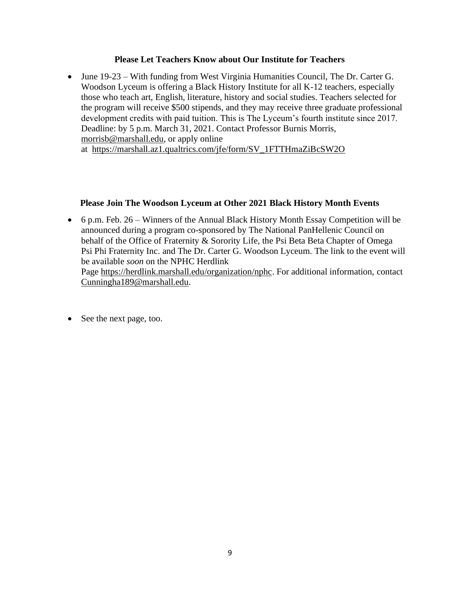#### **Please Let Teachers Know about Our Institute for Teachers**

• June 19-23 – With funding from West Virginia Humanities Council, The Dr. Carter G. Woodson Lyceum is offering a Black History Institute for all K-12 teachers, especially those who teach art, English, literature, history and social studies. Teachers selected for the program will receive \$500 stipends, and they may receive three graduate professional development credits with paid tuition. This is The Lyceum's fourth institute since 2017. Deadline: by 5 p.m. March 31, 2021. Contact Professor Burnis Morris, [morrisb@marshall.edu,](mailto:morrisb@marshall.edu) or apply online at [https://marshall.az1.qualtrics.com/jfe/form/SV\\_1FTTHmaZiBcSW2O](https://marshall.az1.qualtrics.com/jfe/form/SV_1FTTHmaZiBcSW2O)

#### **Please Join The Woodson Lyceum at Other 2021 Black History Month Events**

• 6 p.m. Feb. 26 – Winners of the Annual Black History Month Essay Competition will be announced during a program co-sponsored by The National PanHellenic Council on behalf of the Office of Fraternity & Sorority Life, the Psi Beta Beta Chapter of Omega Psi Phi Fraternity Inc. and The Dr. Carter G. Woodson Lyceum. The link to the event will be available *soon* on the NPHC Herdlink Page [https://herdlink.marshall.edu/organization/nphc.](https://herdlink.marshall.edu/organization/nphc) For additional information, contact

[Cunningha189@marshall.edu.](mailto:Cunningha189@marshall.edu)

• See the next page, too.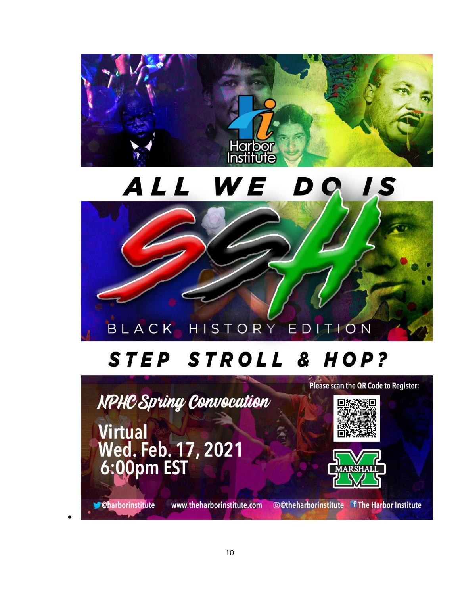![](_page_9_Picture_0.jpeg)

#### ALL WE DQ  $\overline{1s}$

![](_page_9_Picture_2.jpeg)

# STEP STROLL & HOP?

NPHC Spring Convocation

**Virtual** Wed. Feb. 17, 2021<br>6:00pm EST

![](_page_9_Picture_6.jpeg)

![](_page_9_Picture_7.jpeg)

**Oharborinstitute** 

•

www.theharborinstitute.com

©@theharborinstitute f The Harbor Institute